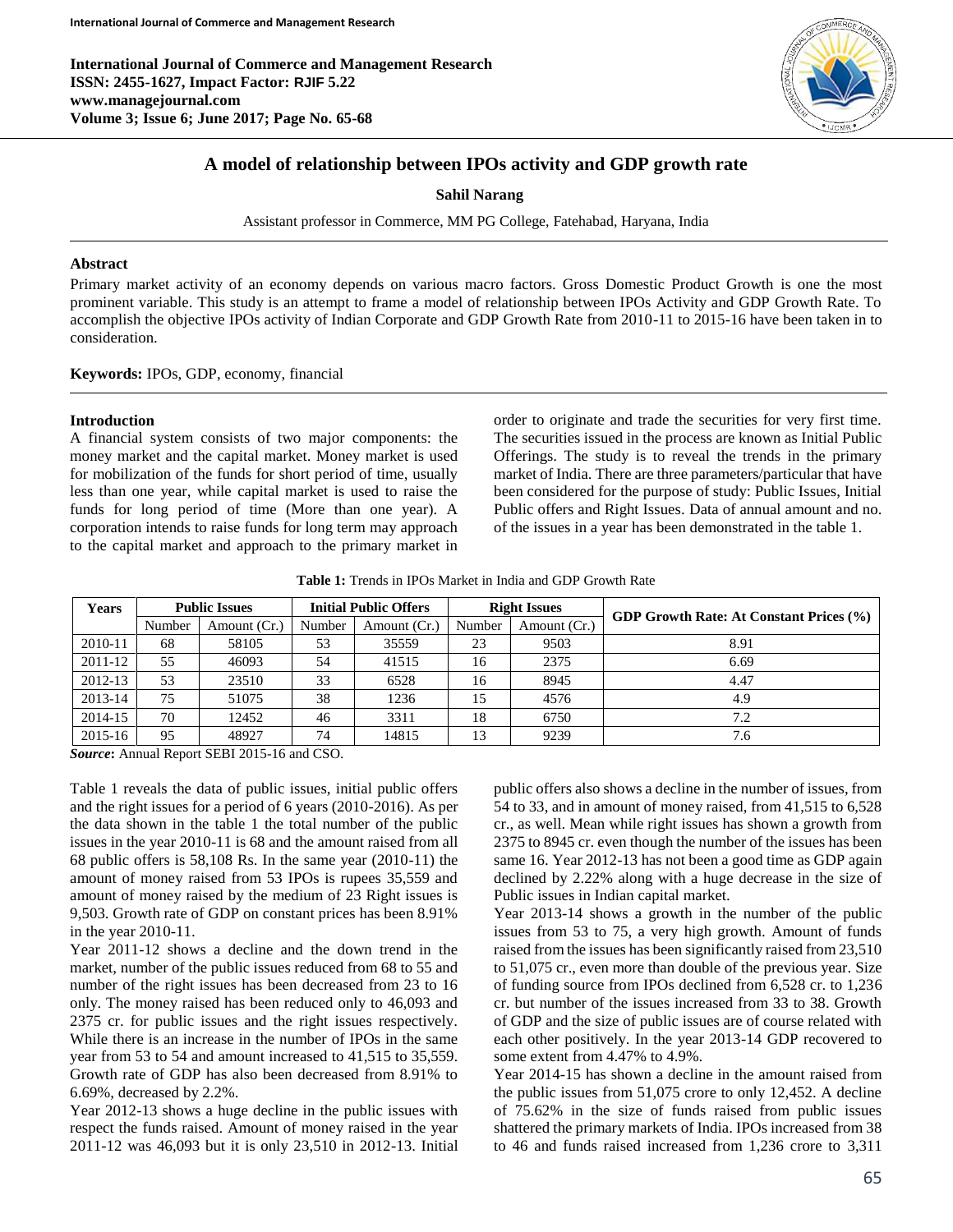**International Journal of Commerce and Management Research ISSN: 2455-1627, Impact Factor: RJIF 5.22 www.managejournal.com Volume 3; Issue 6; June 2017; Page No. 65-68**



# **A model of relationship between IPOs activity and GDP growth rate**

**Sahil Narang**

Assistant professor in Commerce, MM PG College, Fatehabad, Haryana, India

## **Abstract**

Primary market activity of an economy depends on various macro factors. Gross Domestic Product Growth is one the most prominent variable. This study is an attempt to frame a model of relationship between IPOs Activity and GDP Growth Rate. To accomplish the objective IPOs activity of Indian Corporate and GDP Growth Rate from 2010-11 to 2015-16 have been taken in to consideration.

**Keywords:** IPOs, GDP, economy, financial

#### **Introduction**

A financial system consists of two major components: the money market and the capital market. Money market is used for mobilization of the funds for short period of time, usually less than one year, while capital market is used to raise the funds for long period of time (More than one year). A corporation intends to raise funds for long term may approach to the capital market and approach to the primary market in

order to originate and trade the securities for very first time. The securities issued in the process are known as Initial Public Offerings. The study is to reveal the trends in the primary market of India. There are three parameters/particular that have been considered for the purpose of study: Public Issues, Initial Public offers and Right Issues. Data of annual amount and no. of the issues in a year has been demonstrated in the table 1.

**Table 1:** Trends in IPOs Market in India and GDP Growth Rate

| <b>Years</b> | <b>Public Issues</b> |              | <b>Initial Public Offers</b> |              | <b>Right Issues</b> |              |                                                |  |
|--------------|----------------------|--------------|------------------------------|--------------|---------------------|--------------|------------------------------------------------|--|
|              | Number               | Amount (Cr.) | Number                       | Amount (Cr.) | Number              | Amount (Cr.) | <b>GDP Growth Rate: At Constant Prices (%)</b> |  |
| 2010-11      | 68                   | 58105        | 53                           | 35559        | 23                  | 9503         | 8.91                                           |  |
| 2011-12      | 55                   | 46093        | 54                           | 41515        | 16                  | 2375         | 6.69                                           |  |
| 2012-13      | 53                   | 23510        | 33                           | 6528         | 16                  | 8945         | 4.47                                           |  |
| 2013-14      | 75                   | 51075        | 38                           | 1236         | 15                  | 4576         | 4.9                                            |  |
| 2014-15      | 70                   | 12452        | 46                           | 3311         | 18                  | 6750         | 7.2                                            |  |
| 2015-16      | 95                   | 48927        | 74                           | 14815        | 13                  | 9239         | 7.6                                            |  |

*Source***:** Annual Report SEBI 2015-16 and CSO.

Table 1 reveals the data of public issues, initial public offers and the right issues for a period of 6 years (2010-2016). As per the data shown in the table 1 the total number of the public issues in the year 2010-11 is 68 and the amount raised from all 68 public offers is 58,108 Rs. In the same year (2010-11) the amount of money raised from 53 IPOs is rupees 35,559 and amount of money raised by the medium of 23 Right issues is 9,503. Growth rate of GDP on constant prices has been 8.91% in the year 2010-11.

Year 2011-12 shows a decline and the down trend in the market, number of the public issues reduced from 68 to 55 and number of the right issues has been decreased from 23 to 16 only. The money raised has been reduced only to 46,093 and 2375 cr. for public issues and the right issues respectively. While there is an increase in the number of IPOs in the same year from 53 to 54 and amount increased to 41,515 to 35,559. Growth rate of GDP has also been decreased from 8.91% to 6.69%, decreased by 2.2%.

Year 2012-13 shows a huge decline in the public issues with respect the funds raised. Amount of money raised in the year 2011-12 was 46,093 but it is only 23,510 in 2012-13. Initial public offers also shows a decline in the number of issues, from 54 to 33, and in amount of money raised, from 41,515 to 6,528 cr., as well. Mean while right issues has shown a growth from 2375 to 8945 cr. even though the number of the issues has been same 16. Year 2012-13 has not been a good time as GDP again declined by 2.22% along with a huge decrease in the size of Public issues in Indian capital market.

Year 2013-14 shows a growth in the number of the public issues from 53 to 75, a very high growth. Amount of funds raised from the issues has been significantly raised from 23,510 to 51,075 cr., even more than double of the previous year. Size of funding source from IPOs declined from 6,528 cr. to 1,236 cr. but number of the issues increased from 33 to 38. Growth of GDP and the size of public issues are of course related with each other positively. In the year 2013-14 GDP recovered to some extent from 4.47% to 4.9%.

Year 2014-15 has shown a decline in the amount raised from the public issues from 51,075 crore to only 12,452. A decline of 75.62% in the size of funds raised from public issues shattered the primary markets of India. IPOs increased from 38 to 46 and funds raised increased from 1,236 crore to 3,311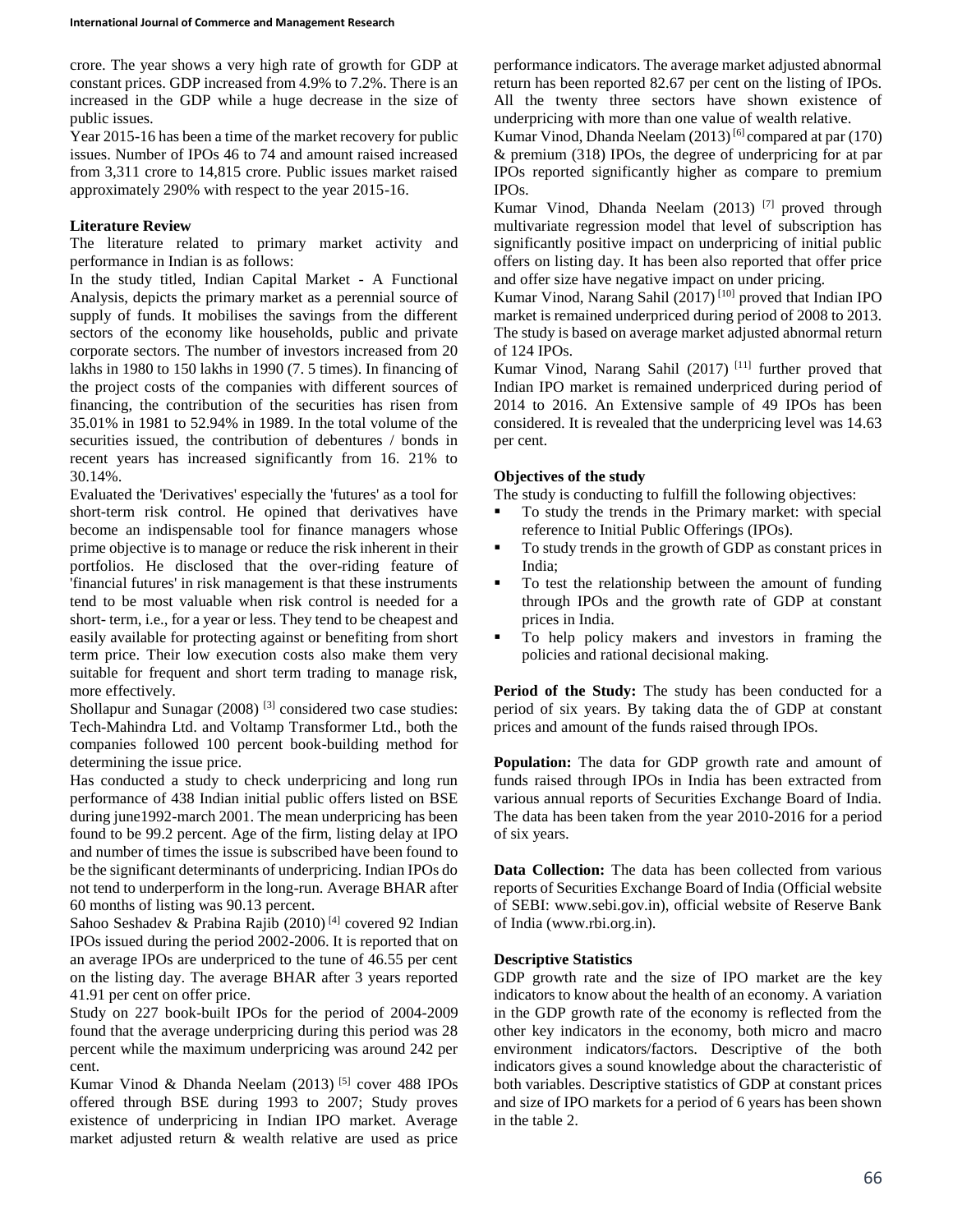crore. The year shows a very high rate of growth for GDP at constant prices. GDP increased from 4.9% to 7.2%. There is an increased in the GDP while a huge decrease in the size of public issues.

Year 2015-16 has been a time of the market recovery for public issues. Number of IPOs 46 to 74 and amount raised increased from 3,311 crore to 14,815 crore. Public issues market raised approximately 290% with respect to the year 2015-16.

### **Literature Review**

The literature related to primary market activity and performance in Indian is as follows:

In the study titled, Indian Capital Market - A Functional Analysis, depicts the primary market as a perennial source of supply of funds. It mobilises the savings from the different sectors of the economy like households, public and private corporate sectors. The number of investors increased from 20 lakhs in 1980 to 150 lakhs in 1990 (7. 5 times). In financing of the project costs of the companies with different sources of financing, the contribution of the securities has risen from 35.01% in 1981 to 52.94% in 1989. In the total volume of the securities issued, the contribution of debentures / bonds in recent years has increased significantly from 16. 21% to 30.14%.

Evaluated the 'Derivatives' especially the 'futures' as a tool for short-term risk control. He opined that derivatives have become an indispensable tool for finance managers whose prime objective is to manage or reduce the risk inherent in their portfolios. He disclosed that the over-riding feature of 'financial futures' in risk management is that these instruments tend to be most valuable when risk control is needed for a short- term, i.e., for a year or less. They tend to be cheapest and easily available for protecting against or benefiting from short term price. Their low execution costs also make them very suitable for frequent and short term trading to manage risk, more effectively.

Shollapur and Sunagar  $(2008)$ <sup>[3]</sup> considered two case studies: Tech-Mahindra Ltd. and Voltamp Transformer Ltd., both the companies followed 100 percent book-building method for determining the issue price.

Has conducted a study to check underpricing and long run performance of 438 Indian initial public offers listed on BSE during june1992-march 2001. The mean underpricing has been found to be 99.2 percent. Age of the firm, listing delay at IPO and number of times the issue is subscribed have been found to be the significant determinants of underpricing. Indian IPOs do not tend to underperform in the long-run. Average BHAR after 60 months of listing was 90.13 percent.

Sahoo Seshadev & Prabina Rajib (2010)<sup>[4]</sup> covered 92 Indian IPOs issued during the period 2002-2006. It is reported that on an average IPOs are underpriced to the tune of 46.55 per cent on the listing day. The average BHAR after 3 years reported 41.91 per cent on offer price.

Study on 227 book-built IPOs for the period of 2004-2009 found that the average underpricing during this period was 28 percent while the maximum underpricing was around 242 per cent.

Kumar Vinod & Dhanda Neelam (2013)<sup>[5]</sup> cover 488 IPOs offered through BSE during 1993 to 2007; Study proves existence of underpricing in Indian IPO market. Average market adjusted return & wealth relative are used as price

performance indicators. The average market adjusted abnormal return has been reported 82.67 per cent on the listing of IPOs. All the twenty three sectors have shown existence of underpricing with more than one value of wealth relative.

Kumar Vinod, Dhanda Neelam (2013)<sup>[6]</sup> compared at par (170) & premium (318) IPOs, the degree of underpricing for at par IPOs reported significantly higher as compare to premium IPOs.

Kumar Vinod, Dhanda Neelam (2013) [7] proved through multivariate regression model that level of subscription has significantly positive impact on underpricing of initial public offers on listing day. It has been also reported that offer price and offer size have negative impact on under pricing.

Kumar Vinod, Narang Sahil  $(2017)^{[10]}$  proved that Indian IPO market is remained underpriced during period of 2008 to 2013. The study is based on average market adjusted abnormal return of 124 IPOs.

Kumar Vinod, Narang Sahil  $(2017)$ <sup>[11]</sup> further proved that Indian IPO market is remained underpriced during period of 2014 to 2016. An Extensive sample of 49 IPOs has been considered. It is revealed that the underpricing level was 14.63 per cent.

## **Objectives of the study**

The study is conducting to fulfill the following objectives:

- To study the trends in the Primary market: with special reference to Initial Public Offerings (IPOs).
- To study trends in the growth of GDP as constant prices in India;
- To test the relationship between the amount of funding through IPOs and the growth rate of GDP at constant prices in India.
- To help policy makers and investors in framing the policies and rational decisional making.

**Period of the Study:** The study has been conducted for a period of six years. By taking data the of GDP at constant prices and amount of the funds raised through IPOs.

**Population:** The data for GDP growth rate and amount of funds raised through IPOs in India has been extracted from various annual reports of Securities Exchange Board of India. The data has been taken from the year 2010-2016 for a period of six years.

**Data Collection:** The data has been collected from various reports of Securities Exchange Board of India (Official website of SEBI: www.sebi.gov.in), official website of Reserve Bank of India (www.rbi.org.in).

#### **Descriptive Statistics**

GDP growth rate and the size of IPO market are the key indicators to know about the health of an economy. A variation in the GDP growth rate of the economy is reflected from the other key indicators in the economy, both micro and macro environment indicators/factors. Descriptive of the both indicators gives a sound knowledge about the characteristic of both variables. Descriptive statistics of GDP at constant prices and size of IPO markets for a period of 6 years has been shown in the table 2.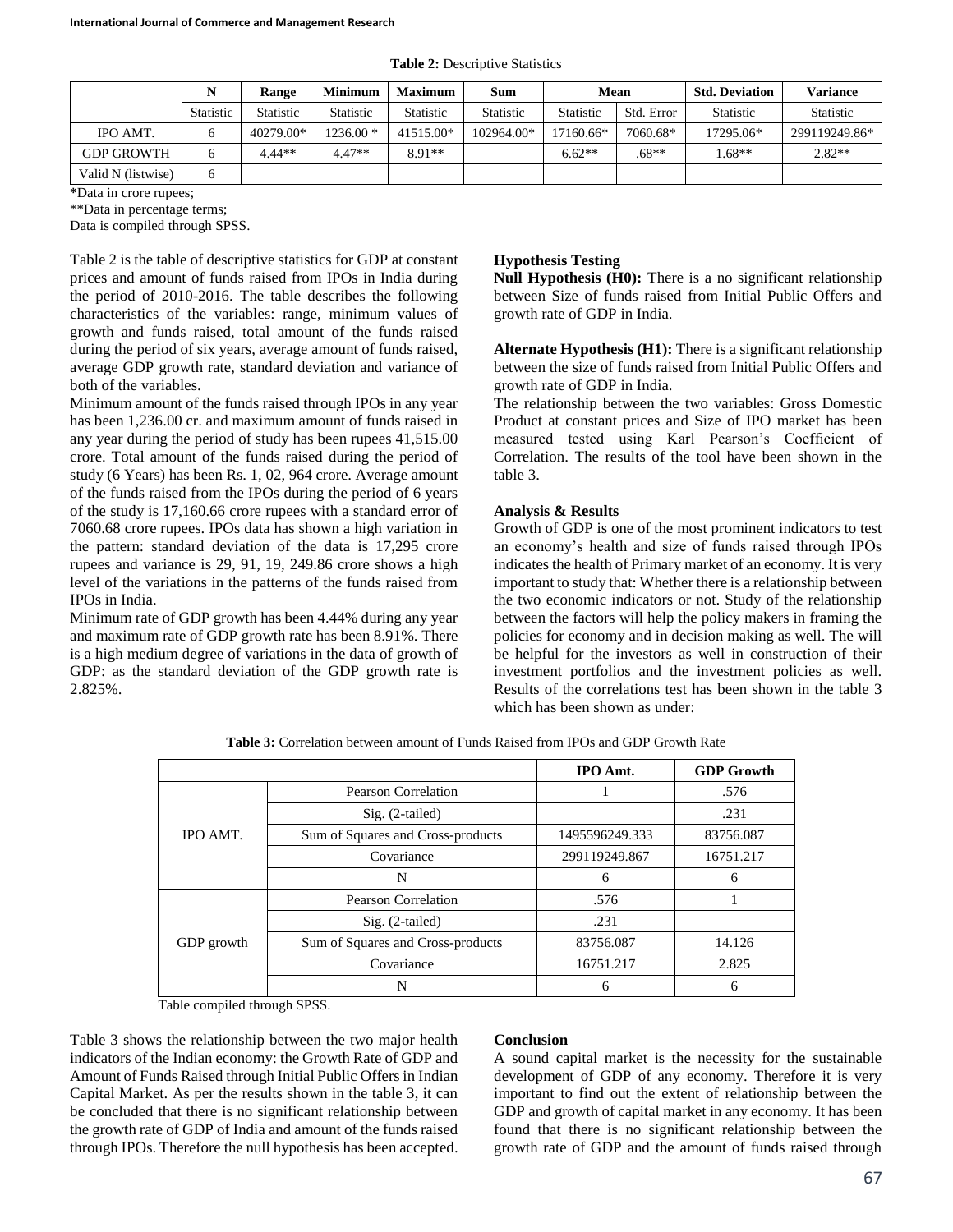| <b>Table 2: Descriptive Statistics</b> |  |  |  |  |
|----------------------------------------|--|--|--|--|
|----------------------------------------|--|--|--|--|

|                    |                  | Range            | <b>Minimum</b>   | <b>Maximum</b>   | <b>Sum</b>       | Mean             |            | <b>Std. Deviation</b> | <b>Variance</b>  |
|--------------------|------------------|------------------|------------------|------------------|------------------|------------------|------------|-----------------------|------------------|
|                    | <b>Statistic</b> | <b>Statistic</b> | <b>Statistic</b> | <b>Statistic</b> | <b>Statistic</b> | <b>Statistic</b> | Std. Error | <b>Statistic</b>      | <b>Statistic</b> |
| IPO AMT.           |                  | 40279.00*        | $1236.00*$       | 41515.00*        | 102964.00*       | 17160.66*        | 7060.68*   | 17295.06*             | 299119249.86*    |
| <b>GDP GROWTH</b>  |                  | $4.44**$         | $4.47**$         | $8.91**$         |                  | $6.62**$         | $.68**$    | $.68**$               | $2.82**$         |
| Valid N (listwise) |                  |                  |                  |                  |                  |                  |            |                       |                  |

**\***Data in crore rupees;

\*\*Data in percentage terms;

Data is compiled through SPSS.

Table 2 is the table of descriptive statistics for GDP at constant prices and amount of funds raised from IPOs in India during the period of 2010-2016. The table describes the following characteristics of the variables: range, minimum values of growth and funds raised, total amount of the funds raised during the period of six years, average amount of funds raised, average GDP growth rate, standard deviation and variance of both of the variables.

Minimum amount of the funds raised through IPOs in any year has been 1,236.00 cr. and maximum amount of funds raised in any year during the period of study has been rupees 41,515.00 crore. Total amount of the funds raised during the period of study (6 Years) has been Rs. 1, 02, 964 crore. Average amount of the funds raised from the IPOs during the period of 6 years of the study is 17,160.66 crore rupees with a standard error of 7060.68 crore rupees. IPOs data has shown a high variation in the pattern: standard deviation of the data is 17,295 crore rupees and variance is 29, 91, 19, 249.86 crore shows a high level of the variations in the patterns of the funds raised from IPOs in India.

Minimum rate of GDP growth has been 4.44% during any year and maximum rate of GDP growth rate has been 8.91%. There is a high medium degree of variations in the data of growth of GDP: as the standard deviation of the GDP growth rate is 2.825%.

## **Hypothesis Testing**

**Null Hypothesis (H0):** There is a no significant relationship between Size of funds raised from Initial Public Offers and growth rate of GDP in India.

**Alternate Hypothesis (H1):** There is a significant relationship between the size of funds raised from Initial Public Offers and growth rate of GDP in India.

The relationship between the two variables: Gross Domestic Product at constant prices and Size of IPO market has been measured tested using Karl Pearson's Coefficient of Correlation. The results of the tool have been shown in the table 3.

#### **Analysis & Results**

Growth of GDP is one of the most prominent indicators to test an economy's health and size of funds raised through IPOs indicates the health of Primary market of an economy. It is very important to study that: Whether there is a relationship between the two economic indicators or not. Study of the relationship between the factors will help the policy makers in framing the policies for economy and in decision making as well. The will be helpful for the investors as well in construction of their investment portfolios and the investment policies as well. Results of the correlations test has been shown in the table 3 which has been shown as under:

|            |                                   | <b>IPO</b> Amt. | <b>GDP</b> Growth |
|------------|-----------------------------------|-----------------|-------------------|
|            | Pearson Correlation               |                 | .576              |
|            | $Sig. (2-tailed)$                 |                 | .231              |
| IPO AMT.   | Sum of Squares and Cross-products | 1495596249.333  | 83756.087         |
|            | Covariance                        | 299119249.867   | 16751.217         |
|            | N                                 | 6               | 6                 |
|            | Pearson Correlation               | .576            |                   |
| GDP growth | $Sig. (2-tailed)$                 | .231            |                   |
|            | Sum of Squares and Cross-products | 83756.087       | 14.126            |
|            | Covariance                        | 16751.217       | 2.825             |
|            | N                                 |                 | h                 |

**Table 3:** Correlation between amount of Funds Raised from IPOs and GDP Growth Rate

Table compiled through SPSS.

Table 3 shows the relationship between the two major health indicators of the Indian economy: the Growth Rate of GDP and Amount of Funds Raised through Initial Public Offers in Indian Capital Market. As per the results shown in the table 3, it can be concluded that there is no significant relationship between the growth rate of GDP of India and amount of the funds raised through IPOs. Therefore the null hypothesis has been accepted.

#### **Conclusion**

A sound capital market is the necessity for the sustainable development of GDP of any economy. Therefore it is very important to find out the extent of relationship between the GDP and growth of capital market in any economy. It has been found that there is no significant relationship between the growth rate of GDP and the amount of funds raised through